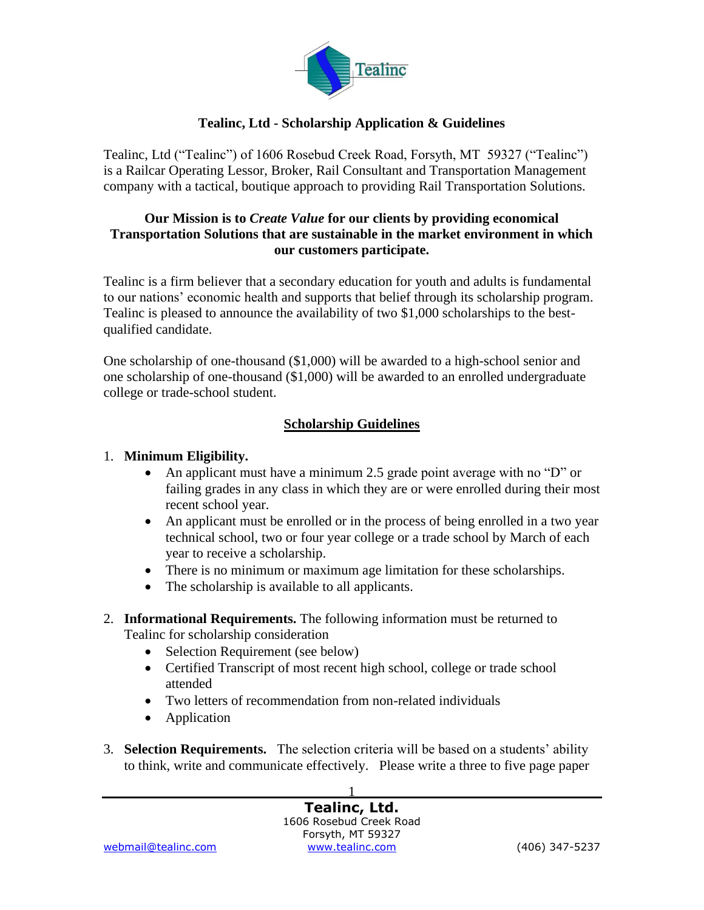

### **Tealinc, Ltd - Scholarship Application & Guidelines**

Tealinc, Ltd ("Tealinc") of 1606 Rosebud Creek Road, Forsyth, MT 59327 ("Tealinc") is a Railcar Operating Lessor, Broker, Rail Consultant and Transportation Management company with a tactical, boutique approach to providing Rail Transportation Solutions.

### **Our Mission is to** *Create Value* **for our clients by providing economical Transportation Solutions that are sustainable in the market environment in which our customers participate.**

Tealinc is a firm believer that a secondary education for youth and adults is fundamental to our nations' economic health and supports that belief through its scholarship program. Tealinc is pleased to announce the availability of two \$1,000 scholarships to the bestqualified candidate.

One scholarship of one-thousand (\$1,000) will be awarded to a high-school senior and one scholarship of one-thousand (\$1,000) will be awarded to an enrolled undergraduate college or trade-school student.

### **Scholarship Guidelines**

### 1. **Minimum Eligibility.**

- An applicant must have a minimum 2.5 grade point average with no "D" or failing grades in any class in which they are or were enrolled during their most recent school year.
- An applicant must be enrolled or in the process of being enrolled in a two year technical school, two or four year college or a trade school by March of each year to receive a scholarship.
- There is no minimum or maximum age limitation for these scholarships.
- The scholarship is available to all applicants.
- 2. **Informational Requirements.** The following information must be returned to Tealinc for scholarship consideration
	- Selection Requirement (see below)
	- Certified Transcript of most recent high school, college or trade school attended
	- Two letters of recommendation from non-related individuals
	- Application
- 3. **Selection Requirements.** The selection criteria will be based on a students' ability to think, write and communicate effectively. Please write a three to five page paper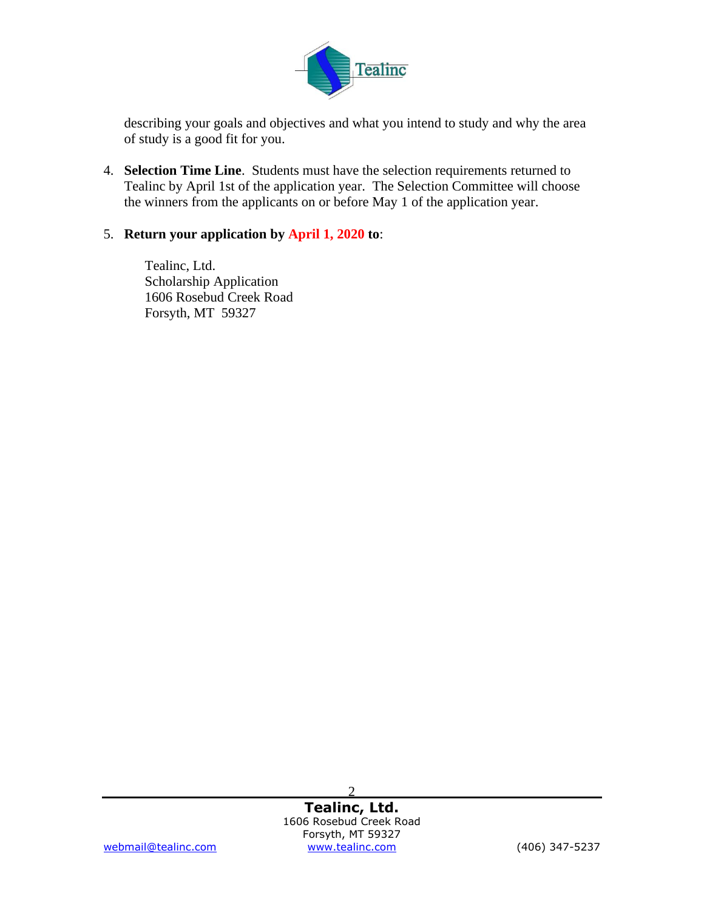

describing your goals and objectives and what you intend to study and why the area of study is a good fit for you.

4. **Selection Time Line**. Students must have the selection requirements returned to Tealinc by April 1st of the application year. The Selection Committee will choose the winners from the applicants on or before May 1 of the application year.

### 5. **Return your application by April 1, 2020 to**:

Tealinc, Ltd. Scholarship Application 1606 Rosebud Creek Road Forsyth, MT 59327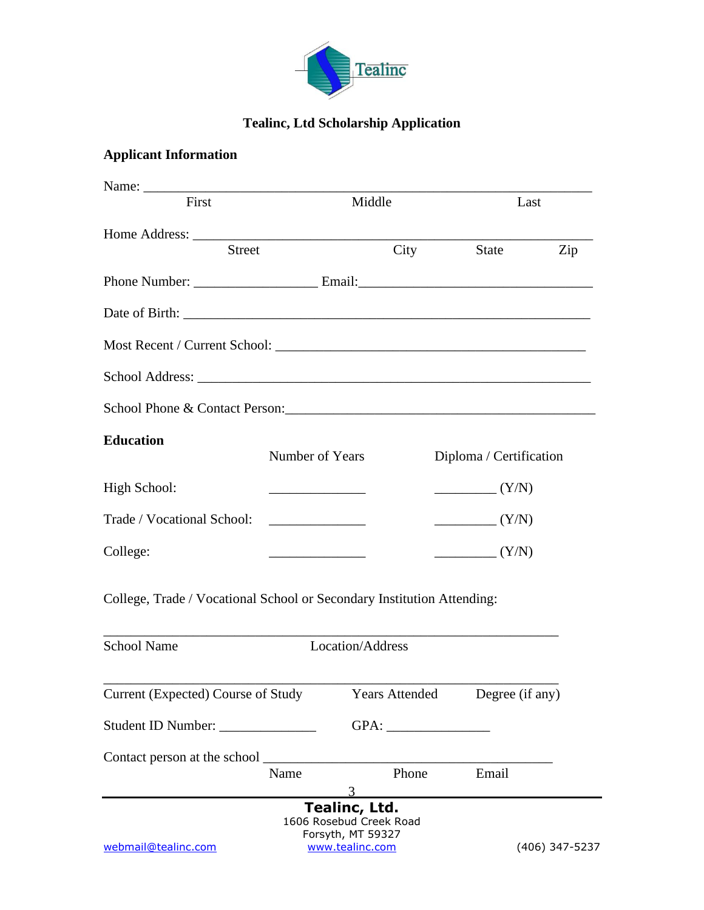

# **Tealinc, Ltd Scholarship Application**

# **Applicant Information**

| First                                                                  |                                                                     | Middle                                                                           |       | Last                    |                |
|------------------------------------------------------------------------|---------------------------------------------------------------------|----------------------------------------------------------------------------------|-------|-------------------------|----------------|
|                                                                        |                                                                     |                                                                                  |       |                         |                |
| Street                                                                 |                                                                     |                                                                                  | City  | State                   | Zip            |
|                                                                        |                                                                     |                                                                                  |       |                         |                |
|                                                                        |                                                                     |                                                                                  |       |                         |                |
|                                                                        |                                                                     |                                                                                  |       |                         |                |
|                                                                        |                                                                     |                                                                                  |       |                         |                |
| School Phone & Contact Person:                                         |                                                                     |                                                                                  |       |                         |                |
| <b>Education</b>                                                       | Number of Years                                                     |                                                                                  |       | Diploma / Certification |                |
| High School:                                                           | $\overline{\phantom{a}}$ . The contract of $\overline{\phantom{a}}$ |                                                                                  |       | $\frac{Y}{N}$           |                |
| Trade / Vocational School:                                             |                                                                     |                                                                                  |       | $\frac{Y}{N}$           |                |
| College:                                                               |                                                                     |                                                                                  |       | $\frac{Y}{N}$           |                |
| College, Trade / Vocational School or Secondary Institution Attending: |                                                                     |                                                                                  |       |                         |                |
| <b>School Name</b>                                                     |                                                                     | Location/Address                                                                 |       |                         |                |
|                                                                        |                                                                     |                                                                                  |       |                         |                |
| Current (Expected) Course of Study Years Attended Degree (if any)      |                                                                     |                                                                                  |       |                         |                |
|                                                                        |                                                                     |                                                                                  | GPA:  |                         |                |
| Contact person at the school _                                         |                                                                     |                                                                                  |       |                         |                |
|                                                                        | Name                                                                | 3                                                                                | Phone | Email                   |                |
| webmail@tealinc.com                                                    |                                                                     | Tealinc, Ltd.<br>1606 Rosebud Creek Road<br>Forsyth, MT 59327<br>www.tealinc.com |       |                         | (406) 347-5237 |